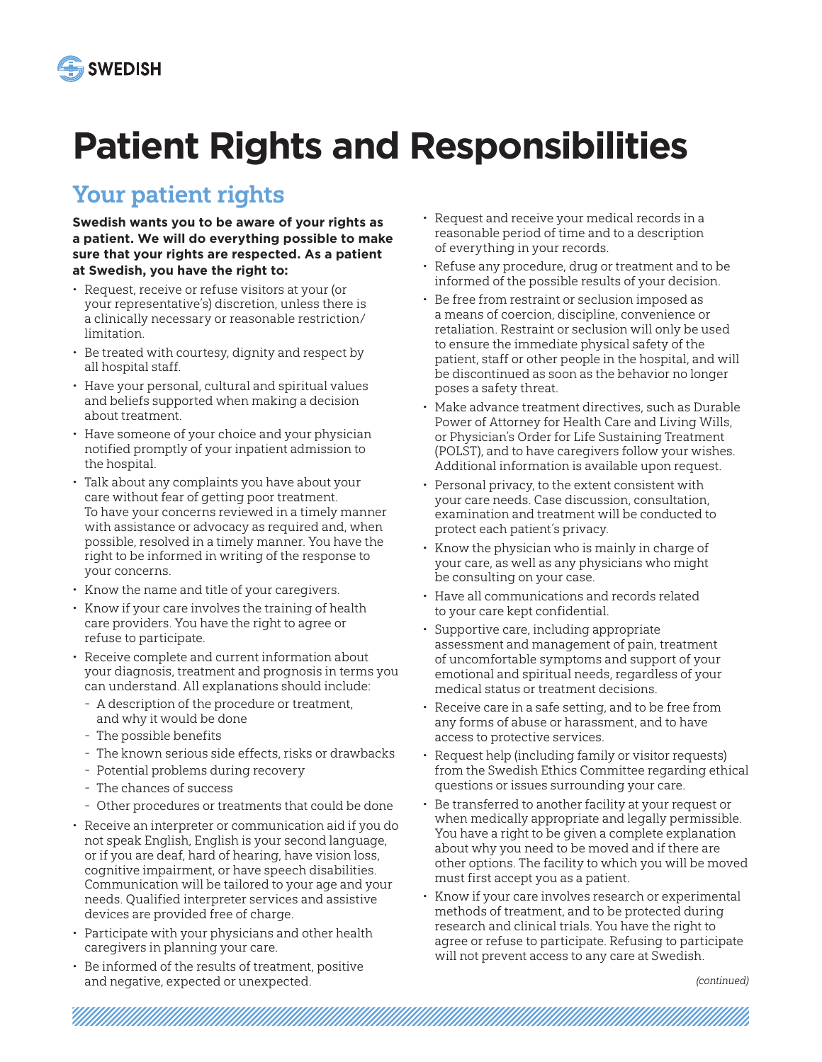

# **Patient Rights and Responsibilities**

# Your patient rights

**Swedish wants you to be aware of your rights as a patient. We will do everything possible to make sure that your rights are respected. As a patient at Swedish, you have the right to:**

- Request, receive or refuse visitors at your (or your representative's) discretion, unless there is a clinically necessary or reasonable restriction/ limitation.
- Be treated with courtesy, dignity and respect by all hospital staff.
- Have your personal, cultural and spiritual values and beliefs supported when making a decision about treatment.
- Have someone of your choice and your physician notified promptly of your inpatient admission to the hospital.
- Talk about any complaints you have about your care without fear of getting poor treatment. To have your concerns reviewed in a timely manner with assistance or advocacy as required and, when possible, resolved in a timely manner. You have the right to be informed in writing of the response to your concerns.
- Know the name and title of your caregivers.
- Know if your care involves the training of health care providers. You have the right to agree or refuse to participate.
- Receive complete and current information about your diagnosis, treatment and prognosis in terms you can understand. All explanations should include:
	- A description of the procedure or treatment, and why it would be done
	- The possible benefits
	- The known serious side effects, risks or drawbacks
	- Potential problems during recovery
	- The chances of success
	- Other procedures or treatments that could be done
- Receive an interpreter or communication aid if you do not speak English, English is your second language, or if you are deaf, hard of hearing, have vision loss, cognitive impairment, or have speech disabilities. Communication will be tailored to your age and your needs. Qualified interpreter services and assistive devices are provided free of charge.
- Participate with your physicians and other health caregivers in planning your care.
- Be informed of the results of treatment, positive and negative, expected or unexpected.

<u> Alamania (alamania) (alamania) (alamania) (alamania) (alamania) (alamania) (alamania) (alamania) (alamania)</u>

- Request and receive your medical records in a reasonable period of time and to a description of everything in your records.
- Refuse any procedure, drug or treatment and to be informed of the possible results of your decision.
- Be free from restraint or seclusion imposed as a means of coercion, discipline, convenience or retaliation. Restraint or seclusion will only be used to ensure the immediate physical safety of the patient, staff or other people in the hospital, and will be discontinued as soon as the behavior no longer poses a safety threat.
- Make advance treatment directives, such as Durable Power of Attorney for Health Care and Living Wills, or Physician's Order for Life Sustaining Treatment (POLST), and to have caregivers follow your wishes. Additional information is available upon request.
- Personal privacy, to the extent consistent with your care needs. Case discussion, consultation, examination and treatment will be conducted to protect each patient's privacy.
- Know the physician who is mainly in charge of your care, as well as any physicians who might be consulting on your case.
- Have all communications and records related to your care kept confidential.
- Supportive care, including appropriate assessment and management of pain, treatment of uncomfortable symptoms and support of your emotional and spiritual needs, regardless of your medical status or treatment decisions.
- Receive care in a safe setting, and to be free from any forms of abuse or harassment, and to have access to protective services.
- Request help (including family or visitor requests) from the Swedish Ethics Committee regarding ethical questions or issues surrounding your care.
- Be transferred to another facility at your request or when medically appropriate and legally permissible. You have a right to be given a complete explanation about why you need to be moved and if there are other options. The facility to which you will be moved must first accept you as a patient.
- Know if your care involves research or experimental methods of treatment, and to be protected during research and clinical trials. You have the right to agree or refuse to participate. Refusing to participate will not prevent access to any care at Swedish.

(continued)